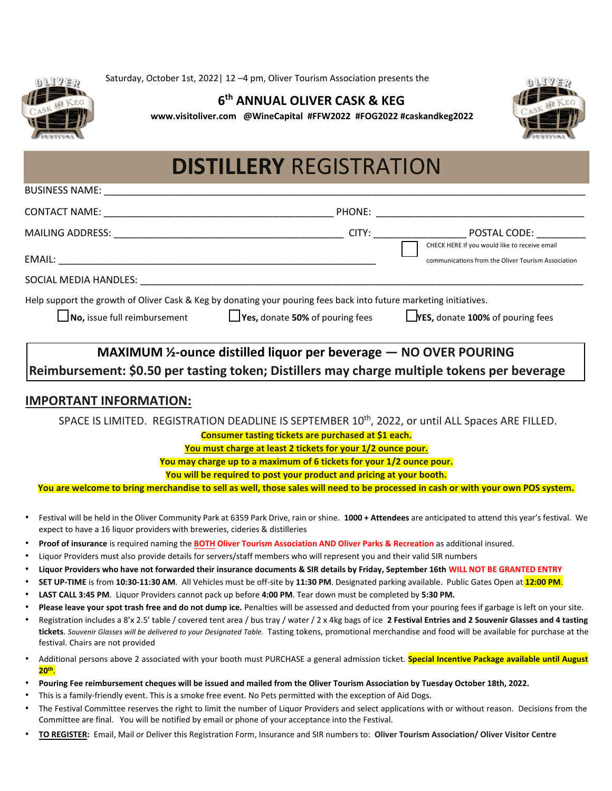

Saturday, October 1st, 2022| 12 –4 pm, Oliver Tourism Association presents the

## **6 th ANNUAL OLIVER CASK & KEG**

**www.visitoliver.com @WineCapital #FFW2022 #FOG2022 #caskandkeg2022**



## **DISTILLERY** REGISTRATION

| <b>BUSINESS NAME:</b>                                                                                                          |                                                                                                                                                                                                                                |                                                               |
|--------------------------------------------------------------------------------------------------------------------------------|--------------------------------------------------------------------------------------------------------------------------------------------------------------------------------------------------------------------------------|---------------------------------------------------------------|
| CONTACT NAME:                                                                                                                  | PHONE:                                                                                                                                                                                                                         |                                                               |
| MAILING ADDRESS:                                                                                                               | CITY: the contract of the contract of the contract of the contract of the contract of the contract of the contract of the contract of the contract of the contract of the contract of the contract of the contract of the cont | POSTAL CODE:<br>CHECK HERE If you would like to receive email |
| EMAIL:<br><u> 2000 - 2000 - 2000 - 2000 - 2000 - 2000 - 2000 - 2000 - 2000 - 2000 - 2000 - 2000 - 2000 - 2000 - 2000 - 200</u> |                                                                                                                                                                                                                                | communications from the Oliver Tourism Association            |
| SOCIAL MEDIA HANDLES:                                                                                                          |                                                                                                                                                                                                                                |                                                               |
|                                                                                                                                | Help support the growth of Oliver Cask & Keg by donating your pouring fees back into future marketing initiatives.                                                                                                             |                                                               |
| $\Box$ No, issue full reimbursement                                                                                            | $\Box$ Yes, donate 50% of pouring fees                                                                                                                                                                                         | <b>Lyes, donate 100% of pouring fees</b>                      |
|                                                                                                                                |                                                                                                                                                                                                                                |                                                               |

**MAXIMUM 1/2-ounce distilled liquor per beverage – NO OVER POURING** 

**Reimbursement: \$0.50 per tasting token; Distillers may charge multiple tokens per beverage** 

## **IMPORTANT INFORMATION:**

SPACE IS LIMITED. REGISTRATION DEADLINE IS SEPTEMBER 10<sup>th</sup>, 2022, or until ALL Spaces ARE FILLED.

**Consumer tasting tickets are purchased at \$1 each.** 

**You must charge at least 2 tickets for your 1/2 ounce pour.**

**You may charge up to a maximum of 6 tickets for your 1/2 ounce pour.**

**You will be required to post your product and pricing at your booth.** 

**You are welcome to bring merchandise to sell as well, those sales will need to be processed in cash or with your own POS system.**

- Festival will be held in the Oliver Community Park at 6359 Park Drive, rain or shine. **1000 + Attendees** are anticipated to attend this year's festival. We expect to have a 16 liquor providers with breweries, cideries & distilleries
- **Proof of insurance** is required naming the **BOTH Oliver Tourism Association AND Oliver Parks & Recreation** as additional insured.
- Liquor Providers must also provide details for servers/staff members who will represent you and their valid SIR numbers
- **Liquor Providers who have not forwarded their insurance documents & SIR details by Friday, September 16th WILL NOT BE GRANTED ENTRY**
- **SET UP-TIME** is from **10:30-11:30 AM**. All Vehicles must be off-site by **11:30 PM**. Designated parking available. Public Gates Open at **12:00 PM**.
- **LAST CALL 3:45 PM**. Liquor Providers cannot pack up before **4:00 PM**. Tear down must be completed by **5:30 PM.**
- Please leave your spot trash free and do not dump ice. Penalties will be assessed and deducted from your pouring fees if garbage is left on your site.
- Registration includes a 8'x 2.5' table / covered tent area / bus tray / water / 2 x 4kg bags of ice **2 Festival Entries and 2 Souvenir Glasses and 4 tasting tickets**. *Souvenir Glasses will be delivered to your Designated Table.* Tasting tokens, promotional merchandise and food will be available for purchase at the festival. Chairs are not provided
- Additional persons above 2 associated with your booth must PURCHASE a general admission ticket. **Special Incentive Package available until August 20th** .
- **Pouring Fee reimbursement cheques will be issued and mailed from the Oliver Tourism Association by Tuesday October 18th, 2022.**
- This is a family-friendly event. This is a smoke free event. No Pets permitted with the exception of Aid Dogs.
- The Festival Committee reserves the right to limit the number of Liquor Providers and select applications with or without reason. Decisions from the Committee are final. You will be notified by email or phone of your acceptance into the Festival.
- **TO REGISTER:** Email, Mail or Deliver this Registration Form, Insurance and SIR numbers to: **Oliver Tourism Association/ Oliver Visitor Centre**